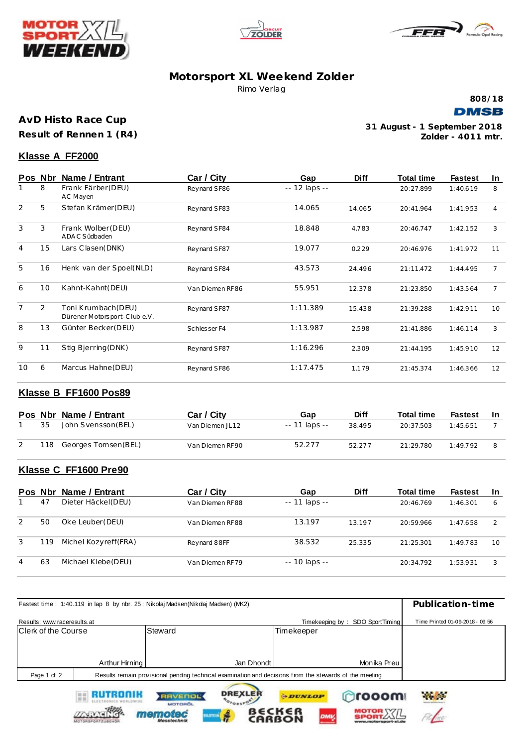





# **Motorsport XL Weekend Zolder** Rimo Verlag



**AvD Histo Race Cup**

**Result of Rennen 1 (R4)**

**Zolder - 4011 mtr. 31 August - 1 September 2018**

## **Klasse A FF2000**

|                | Pos Nbr | Name / Entrant                                     | Car / City      | Gap           | <b>Diff</b> | Total time | <b>Fastest</b> | In |
|----------------|---------|----------------------------------------------------|-----------------|---------------|-------------|------------|----------------|----|
|                | 8       | Frank Färber (DEU)<br>AC Mayen                     | Reynard SF86    | -- 12 laps -- |             | 20:27.899  | 1:40.619       | 8  |
| 2              | 5       | Stefan Krämer (DEU)                                | Reynard SF83    | 14.065        | 14.065      | 20:41.964  | 1:41.953       | 4  |
| 3              | 3       | Frank Wolber (DEU)<br>ADAC Südbaden                | Reynard SF84    | 18.848        | 4.783       | 20:46.747  | 1:42.152       | 3  |
| $\overline{4}$ | 15      | Lars Clasen(DNK)                                   | Reynard SF87    | 19.077        | 0.229       | 20:46.976  | 1:41.972       | 11 |
| 5              | 16      | Henk van der Spoel(NLD)                            | Reynard SF84    | 43.573        | 24.496      | 21:11.472  | 1:44.495       | 7  |
| 6              | 10      | Kahnt-Kahnt(DEU)                                   | Van Diemen RF86 | 55.951        | 12.378      | 21:23.850  | 1:43.564       | 7  |
| $\overline{7}$ | 2       | Toni Krumbach (DEU)<br>Dürener Motorsport-Clube.V. | Reynard SF87    | 1:11.389      | 15.438      | 21:39.288  | 1:42.911       | 10 |
| 8              | 13      | Günter Becker (DEU)                                | Schiesser F4    | 1:13.987      | 2.598       | 21:41.886  | 1:46.114       | 3  |
| 9              | 11      | Stig Bjerring(DNK)                                 | Reynard SF87    | 1:16.296      | 2.309       | 21:44.195  | 1:45.910       | 12 |
| 10             | 6       | Marcus Hahne (DEU)                                 | Reynard SF86    | 1:17.475      | 1.179       | 21:45.374  | 1:46.366       | 12 |

# **Klasse B FF1600 Pos89**

|    | Pos Nbr Name / Entrant  | Car / City      | Gap            | <b>Diff</b> | Total time | <b>Fastest</b> | -In |
|----|-------------------------|-----------------|----------------|-------------|------------|----------------|-----|
| 35 | John Svensson(BEL)      | Van Diemen JL12 | $-11$ laps $-$ | 38.495      | 20:37.503  | 1:45.651       |     |
|    | 118 Georges Tomsen(BEL) | Van Diemen RF90 | 52.277         | 52.277      | 21:29.780  | 1:49.792       |     |

# **Klasse C FF1600 Pre90**

RAVENOL

memotec

| Pos Nbr |     | Name / Entrant        | Car / City      | Gap                 | <b>Diff</b> | <b>Total time</b> | <b>Fastest</b> | -In           |
|---------|-----|-----------------------|-----------------|---------------------|-------------|-------------------|----------------|---------------|
|         | 47  | Dieter Häckel(DEU)    | Van Diemen RF88 | $-11$ laps $-$      |             | 20:46.769         | 1:46.301       | 6             |
| 2       | 50  | Oke Leuber (DEU)      | Van Diemen RF88 | 13.197              | 13.197      | 20:59.966         | 1:47.658       | $\mathcal{L}$ |
| 3       | 119 | Michel Kozyreff (FRA) | Reynard 88FF    | 38.532              | 25.335      | 21:25.301         | 1:49.783       | 10            |
| 4       | 63  | Michael Klebe (DEU)   | Van Diemen RF79 | $- - 10$ laps $- -$ |             | 20:34.792         | 1:53.931       | 3             |

| Fastest time: 1:40.119 in lap 8 by nbr. 25: Nikolaj Madsen(Nikolaj Madsen) (MK2)                                       | Publication-time |                                  |                                 |                                 |
|------------------------------------------------------------------------------------------------------------------------|------------------|----------------------------------|---------------------------------|---------------------------------|
|                                                                                                                        |                  |                                  |                                 |                                 |
| Results: www.raceresults.at                                                                                            |                  |                                  | Timekeeping by: SDO SportTiming | Time Printed 01-09-2018 - 09:56 |
| <b>Clerk of the Course</b>                                                                                             |                  | Steward                          | Timekeeper                      |                                 |
|                                                                                                                        |                  |                                  |                                 |                                 |
|                                                                                                                        |                  |                                  |                                 |                                 |
|                                                                                                                        | Arthur Hirning   | Jan Dhondt                       | Monika Preu                     |                                 |
| Results remain provisional pending technical examination and decisions from the stewards of the meeting<br>Page 1 of 2 |                  |                                  |                                 |                                 |
|                                                                                                                        | RUTRONIK         | <b>DREXLER</b><br><b>RAVENOL</b> | ്രദരരണ<br><b><i>DUNLOP</i></b>  | <b>Allen</b>                    |

**BECKER** 

OFORSPORT

**HSTE** 

**ODUNLOP**